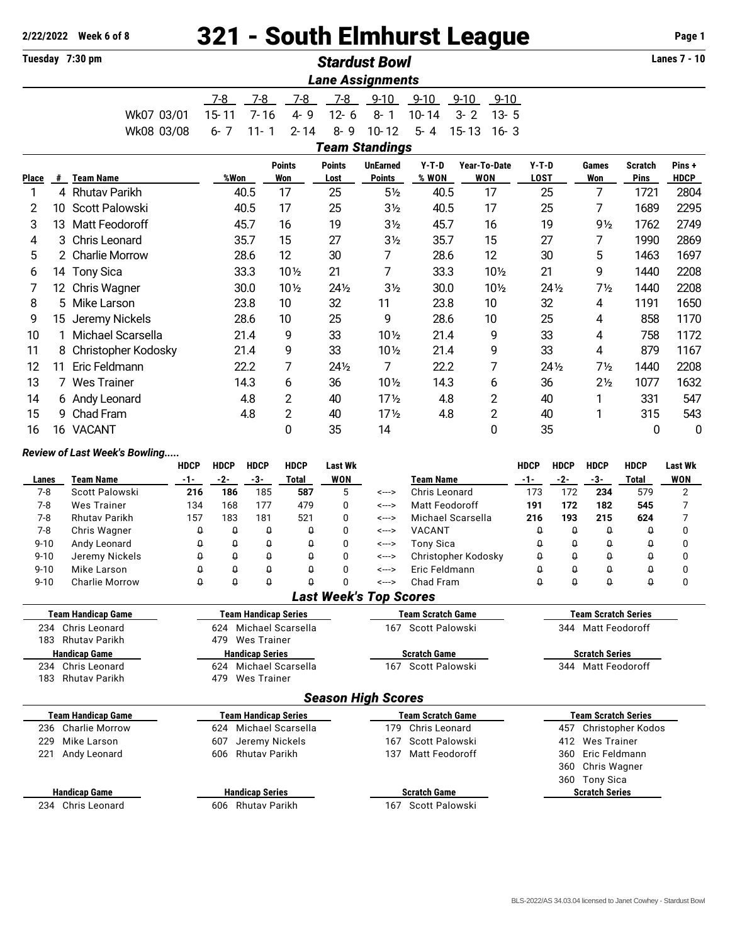# **2/22/2022 Week 6 of 8** 321 - South Elmhurst League **Page 1** Page 1

|                              |    | Tuesday 7:30 pm                        |                                         |                             |                        |                             |                              | <b>Stardust Bowl</b>                                  |                                         |           |                            |                                         |                      |                                                  |                               | <b>Lanes 7 - 10</b>          |  |  |
|------------------------------|----|----------------------------------------|-----------------------------------------|-----------------------------|------------------------|-----------------------------|------------------------------|-------------------------------------------------------|-----------------------------------------|-----------|----------------------------|-----------------------------------------|----------------------|--------------------------------------------------|-------------------------------|------------------------------|--|--|
|                              |    |                                        |                                         |                             |                        |                             |                              | <b>Lane Assignments</b>                               |                                         |           |                            |                                         |                      |                                                  |                               |                              |  |  |
|                              |    |                                        |                                         | $7-8$                       | $7 - 8$                | $7 - 8$                     | $7 - 8$                      | $9 - 10$                                              | $9 - 10$                                | $9 - 10$  | $9 - 10$                   |                                         |                      |                                                  |                               |                              |  |  |
|                              |    | Wk07 03/01                             |                                         | $15 - 11$                   | $7 - 16$               | $4 - 9$                     | $12 - 6$                     | $8 - 1$                                               | 10-14                                   | $3 - 2$   | $13 - 5$                   |                                         |                      |                                                  |                               |                              |  |  |
|                              |    | Wk08 03/08                             |                                         | $6 - 7$                     | $11 - 1$               | $2 - 14$                    | $8 - 9$                      | $10 - 12$                                             | $5 - 4$                                 | $15 - 13$ | $16 - 3$                   |                                         |                      |                                                  |                               |                              |  |  |
|                              |    |                                        |                                         |                             |                        |                             |                              | <b>Team Standings</b>                                 |                                         |           |                            |                                         |                      |                                                  |                               |                              |  |  |
| Place                        |    | # Team Name                            |                                         | %Won                        |                        | <b>Points</b><br><b>Won</b> | Points<br>Lost               | <b>UnEarned</b><br><b>Points</b>                      | $Y-T-D$<br>% WON                        |           | Year-To-Date<br><b>WON</b> | $Y-T-D$<br><b>LOST</b>                  |                      | Games<br>Won                                     | <b>Scratch</b><br><b>Pins</b> | Pins+<br><b>HDCP</b>         |  |  |
| 1                            |    | 4 Rhutav Parikh                        |                                         |                             | 40.5                   | 17                          | 25                           | $5\frac{1}{2}$                                        | 40.5                                    |           | 17                         |                                         | 25                   | 7                                                | 1721                          | 2804                         |  |  |
| 2                            | 10 | Scott Palowski                         |                                         |                             | 40.5                   | 17                          | 25                           | 3 <sub>2</sub>                                        | 40.5                                    |           | 17                         |                                         | 25                   | 7                                                | 1689                          | 2295                         |  |  |
| 3                            | 13 | Matt Feodoroff                         |                                         |                             | 45.7                   | 16                          | 19                           | 3 <sub>2</sub>                                        | 45.7                                    |           | 16                         |                                         | 19                   | $9\frac{1}{2}$                                   | 1762                          | 2749                         |  |  |
| 4                            | 3  | Chris Leonard                          |                                         |                             | 35.7                   | 15                          | 27                           | 3 <sub>2</sub>                                        | 35.7                                    |           | 15                         |                                         | 27                   | 7                                                | 1990                          | 2869                         |  |  |
| 5                            |    | 2 Charlie Morrow                       |                                         |                             | 28.6                   | 12                          | 30                           | 7                                                     | 28.6                                    |           | 12                         |                                         | 30                   | 5                                                | 1463                          | 1697                         |  |  |
| 6                            |    | 14 Tony Sica                           |                                         |                             | 33.3                   | $10\frac{1}{2}$             | 21                           | 7                                                     | 33.3                                    |           | 101/2                      | 21                                      |                      | 9                                                | 1440                          | 2208                         |  |  |
| 7                            |    | 12 Chris Wagner                        |                                         |                             | 30.0                   | $10\frac{1}{2}$             | $24\frac{1}{2}$              | 3 <sub>2</sub>                                        | 30.0                                    |           | 101/2                      |                                         | $24\%$               | $7\frac{1}{2}$                                   | 1440                          | 2208                         |  |  |
| 8                            |    | 5 Mike Larson                          |                                         |                             | 23.8                   | 10                          | 32                           | 11                                                    | 23.8                                    |           | 10                         |                                         | 32                   | 4                                                | 1191                          | 1650                         |  |  |
| 9                            | 15 | Jeremy Nickels                         |                                         |                             | 28.6                   | 10                          | 25                           | 9                                                     | 28.6                                    |           | 10                         |                                         | 25                   | 4                                                | 858                           | 1170                         |  |  |
| 10                           |    | Michael Scarsella                      |                                         |                             | 21.4                   | 9                           | 33                           | 10 1/2                                                | 21.4                                    |           | 9                          |                                         | 33                   | $\overline{4}$                                   | 758                           | 1172                         |  |  |
| 11                           |    | 8 Christopher Kodosky                  |                                         |                             | 21.4                   | 9                           | 33                           | 10 1/2                                                | 21.4                                    |           | 9                          |                                         | 33                   | 4                                                | 879                           | 1167                         |  |  |
| 12                           | 11 | Eric Feldmann                          |                                         |                             | 22.2                   | 7                           | 241/2                        | 7                                                     | 22.2                                    |           | 7                          |                                         | $24\frac{1}{2}$      | $7\frac{1}{2}$                                   | 1440                          | 2208                         |  |  |
| 13                           |    | 7 Wes Trainer                          |                                         |                             | 14.3                   | 6                           | 36                           | 10 1/2                                                | 14.3                                    |           | 6                          |                                         | 36                   | 2 <sub>2</sub>                                   | 1077                          | 1632                         |  |  |
| 14                           |    | 6 Andy Leonard                         |                                         |                             | 4.8                    | $\overline{c}$              | 40                           | 17 <sub>2</sub>                                       | 4.8                                     |           | $\overline{2}$             |                                         | 40                   | 1                                                | 331                           | 547                          |  |  |
| 15                           | 9  | Chad Fram                              |                                         |                             | 4.8                    | $\overline{2}$              | 40                           | $17\frac{1}{2}$                                       | 4.8                                     |           | 2                          |                                         | 40                   | 1                                                | 315                           | 543                          |  |  |
| 16                           |    | 16 VACANT                              |                                         |                             |                        | 0                           | 35                           | 14                                                    |                                         |           | $\mathbf{0}$               |                                         | 35                   |                                                  | 0                             | 0                            |  |  |
|                              |    | Review of Last Week's Bowling          |                                         |                             |                        |                             |                              |                                                       |                                         |           |                            |                                         |                      |                                                  |                               |                              |  |  |
|                              |    | <b>Team Name</b>                       | <b>HDCP</b><br>$-1-$                    | <b>HDCP</b><br>$-2-$        | <b>HDCP</b><br>$-3-$   | <b>HDCP</b><br><b>Total</b> | <b>Last Wk</b><br><b>WON</b> |                                                       | <b>Team Name</b>                        |           |                            | <b>HDCP</b><br>$-1-$                    | <b>HDCP</b><br>$-2-$ | <b>HDCP</b>                                      | <b>HDCP</b><br><b>Total</b>   | <b>Last Wk</b><br><b>WON</b> |  |  |
| Lanes<br>$7-8$               |    | Scott Palowski                         | 216                                     | 186                         | 185                    | 587                         | 5                            | <--->                                                 | Chris Leonard                           |           |                            | 173                                     | 172                  | $-3-$<br>234                                     | 579                           | $\overline{2}$               |  |  |
| $7 - 8$                      |    | <b>Wes Trainer</b>                     | 134                                     | 168                         | 177                    | 479                         | 0                            | <--->                                                 | Matt Feodoroff                          |           |                            | 191                                     | 172                  | 182                                              | 545                           | 7                            |  |  |
| $7 - 8$                      |    | <b>Rhutav Parikh</b>                   | 157                                     | 183                         | 181                    | 521                         | 0                            | <--->                                                 | Michael Scarsella                       |           |                            | 216                                     | 193                  | 215                                              | 624                           | 7                            |  |  |
| $7 - 8$<br>$9 - 10$          |    | Chris Wagner<br>Andy Leonard           | $\pmb{\mathsf{Q}}$<br>$\theta$          | Û<br>0                      | 0<br>0                 | Û<br>0                      | $\mathbf 0$<br>0             | <---><br><--->                                        | <b>VACANT</b>                           |           |                            | $\theta$<br>0                           | $\theta$<br>Û        | $\theta$<br>Û                                    | $\theta$<br>$\theta$          | 0<br>0                       |  |  |
| $9 - 10$                     |    | Jeremy Nickels                         | Û                                       | $\pmb{\mathsf{Q}}$          | $\theta$               | Û                           | 0                            | <--->                                                 | <b>Tony Sica</b><br>Christopher Kodosky |           |                            | $\theta$                                | $\theta$             | 0                                                | $\theta$                      | 0                            |  |  |
| $9 - 10$                     |    | Mike Larson                            | $\pmb{\mathsf{Q}}$                      | $\theta$                    | $\theta$               | Û                           | $\mathbf 0$                  | <--->                                                 | Eric Feldmann                           |           |                            | Û                                       | $\theta$             | $\theta$                                         | Û                             | 0                            |  |  |
| $9 - 10$                     |    | <b>Charlie Morrow</b>                  | $\theta$                                | $\theta$                    | Û                      | $\theta$                    | $\mathbf 0$                  | <--->                                                 | Chad Fram                               |           |                            | $\Omega$                                | $\theta$             | $\theta$                                         | Û                             | $\mathbf 0$                  |  |  |
|                              |    |                                        |                                         |                             |                        |                             |                              | <b>Last Week's Top Scores</b>                         |                                         |           |                            |                                         |                      |                                                  |                               |                              |  |  |
|                              |    | <b>Team Handicap Game</b>              |                                         | <b>Team Handicap Series</b> |                        |                             |                              |                                                       | <b>Team Scratch Game</b>                |           |                            |                                         |                      | <b>Team Scratch Series</b><br>344 Matt Feodoroff |                               |                              |  |  |
|                              |    | 234 Chris Leonard<br>183 Rhutav Parikh |                                         |                             | 479 Wes Trainer        | 624 Michael Scarsella       |                              |                                                       | 167 Scott Palowski                      |           |                            |                                         |                      |                                                  |                               |                              |  |  |
|                              |    | <b>Handicap Game</b>                   |                                         |                             | <b>Handicap Series</b> |                             |                              |                                                       | <b>Scratch Game</b>                     |           |                            |                                         |                      | <b>Scratch Series</b>                            |                               |                              |  |  |
|                              |    | 234 Chris Leonard                      |                                         |                             |                        | 624 Michael Scarsella       |                              |                                                       | 167 Scott Palowski                      |           |                            |                                         |                      | 344 Matt Feodoroff                               |                               |                              |  |  |
|                              |    | 183 Rhutav Parikh                      |                                         |                             | 479 Wes Trainer        |                             |                              |                                                       |                                         |           |                            |                                         |                      |                                                  |                               |                              |  |  |
|                              |    |                                        |                                         |                             |                        |                             |                              | <b>Season High Scores</b>                             |                                         |           |                            |                                         |                      |                                                  |                               |                              |  |  |
| <b>Team Handicap Game</b>    |    |                                        | <b>Team Handicap Series</b>             |                             |                        |                             |                              | <b>Team Scratch Game</b>                              |                                         |           |                            | <b>Team Scratch Series</b>              |                      |                                                  |                               |                              |  |  |
| <b>Charlie Morrow</b><br>236 |    |                                        | 624 Michael Scarsella<br>Jeremy Nickels |                             |                        |                             |                              | 179 Chris Leonard                                     |                                         |           |                            | 457 Christopher Kodos                   |                      |                                                  |                               |                              |  |  |
| 229<br>221                   |    | Mike Larson<br>Andy Leonard            | 607<br>606                              | Rhutav Parikh               |                        |                             |                              | Scott Palowski<br>167<br><b>Matt Feodoroff</b><br>137 |                                         |           |                            | 412 Wes Trainer<br>Eric Feldmann<br>360 |                      |                                                  |                               |                              |  |  |
|                              |    |                                        |                                         |                             |                        |                             |                              |                                                       |                                         |           |                            |                                         |                      | 360 Chris Wagner                                 |                               |                              |  |  |
|                              |    |                                        |                                         |                             |                        |                             |                              |                                                       |                                         |           |                            |                                         |                      | 360 Tony Sica                                    |                               |                              |  |  |
|                              |    | <b>Handicap Game</b>                   |                                         |                             | <b>Handicap Series</b> |                             |                              |                                                       | <b>Scratch Game</b>                     |           |                            |                                         |                      | <b>Scratch Series</b>                            |                               |                              |  |  |
|                              |    | 234 Chris Leonard                      |                                         |                             | 606 Rhutav Parikh      |                             |                              |                                                       | 167 Scott Palowski                      |           |                            |                                         |                      |                                                  |                               |                              |  |  |